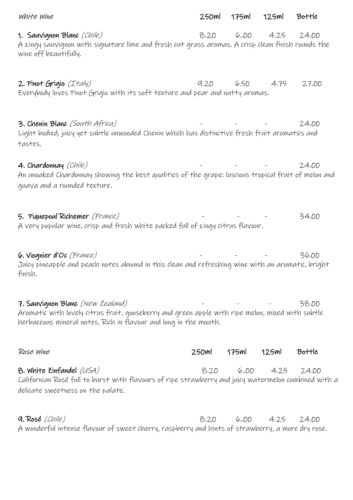| white wine                                                                                                                                                                                               | 250ml | 175ml | 125ml | Bottle |
|----------------------------------------------------------------------------------------------------------------------------------------------------------------------------------------------------------|-------|-------|-------|--------|
| 1. Sauvignon Blanc (Chile)<br>A zingy sauvignon with signature lime and fresh cut grass aromas. A crisp clean finish rounds the<br>wine off beautifully.                                                 | 8.20  | 6,00  | 4.25  | 24.00  |
| 2. Pinot Grigio (Italy)<br>Everybody loves Pinot Grigio with its soft texture and pear and nutty aromas.                                                                                                 | 9,20  | 6.5D  | 4.75  | 27.00  |
| 3. Chenin Blanc (South Africa)<br>Light bodied, juicy yet subtle unwooded Chenin which has distinctive fresh fruit aromatics and<br>tastes.                                                              |       |       |       | 24.00  |
| 4. Chardonnay (Chile)<br>An unoaked Chardonnay showing the best qualities of the grape; luscious tropical fruit of melon and<br>guava and a rounded texture.                                             |       |       |       | 24.00  |
| 5. Piquepoul Richemer (France)<br>A very popular wine, crisp and fresh white packed full of zingy citrus flavour.                                                                                        |       |       |       | 34.00  |
| 6. Viognier d'Oc (France)<br>Juicy pineapple and peach notes abound in this clean and refreshing wine with an aromatic, bright<br>finish.                                                                |       |       |       | 36.DD  |
| 7. Sauvignon Blanc (New Zealand)<br>Aromatic with lovely citrus fruit, gooseberry and green apple with ripe melon, mixed with subtle<br>herbaceous mineral notes. Rich in flavour and long in the mouth. |       |       |       | 38.00  |
| Rose Wine                                                                                                                                                                                                | 250ml | 175ml | 125ml | Bottle |
| 8. White Zinfandel (USA)<br>Californian Rosé full to burst with flavours of ripe strawberry and juicy watermelon combined with a<br>delicate sweetness on the palate.                                    | 8.20  | 6,00  | 4.25  | 24.00  |

9. Rosé (Chile) 8.20 6..00 4.25 24.00 A wonderful intense flavour of sweet cherry, raspberry and hints of strawberry, a more dry rose.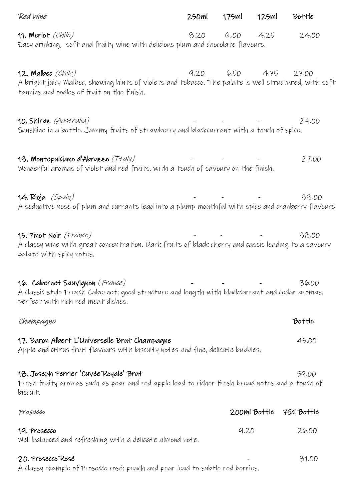| Red wine                                                                                                                                                                  | 250ml | 175ml | 125ml        | Bottle      |
|---------------------------------------------------------------------------------------------------------------------------------------------------------------------------|-------|-------|--------------|-------------|
| 11. Merlot (Chile)<br>Easy drinking, soft and fruity wine with delicious plum and chocolate flavours.                                                                     | 8.20  | 6.00  | 4.25         | 24.00       |
| 12. Malbec (Chile)<br>A bright juicy Malbec, showing hints of violets and tobacco. The palate is well structured, with soft<br>tannins and oodles of fruit on the finish. | 9.20  | 6,50  | 4.75         | 27.00       |
| 10. Shiraz (Australia)<br>Sunshine in a bottle. Jammy fruits of strawberry and blackcurrant with a touch of spice.                                                        |       |       |              | 24.00       |
| 13. Montepulciano d'Abruzzo (Italy)<br>Wonderful aromas of violet and red fruits, with a touch of savoury on the finish.                                                  |       |       |              | 27.00       |
| 14. Rioja (Spain)<br>A seductive nose of plum and currants lead into a plump mouthful with spice and cranberry flavours                                                   |       |       |              | 33.00       |
| 15. Pinot Noir (France)<br>A classy wine with great concentration. Dark fruits of black cherry and cassis leading to a savoury<br>palate with spicy notes.                |       |       |              | 38.00       |
| 16. Cabernet Sauvignon (France)<br>A classic style French Cabernet; good structure and length with blackcurrant and cedar aromas.<br>perfect with rich red meat dishes.   |       |       |              | 36.00       |
| Champagne                                                                                                                                                                 |       |       |              | Bottle      |
| 17. Baron Albert L'Universelle Brut Champagne<br>Apple and citrus fruit flavours with biscuity notes and fine, delicate bubbles.                                          |       |       |              | 45.00       |
| 18. Joseph Perrier 'Cuvée Royale' Brut<br>Fresh fruity aromas such as pear and red apple lead to richer fresh bread notes and a touch of<br>biscuit.                      |       |       |              | 59.00       |
| Prosecco                                                                                                                                                                  |       |       | 200ml Bottle | 75cl Bottle |
| 19. Prosecco<br>Well balanced and refreshing with a delicate almond note.                                                                                                 |       | 9.20  |              | 26.00       |
| 20. Prosecco Rosé<br>A classy example of Prosecco rosé; peach and pear lead to subtle red berries.                                                                        |       |       |              | 31.00       |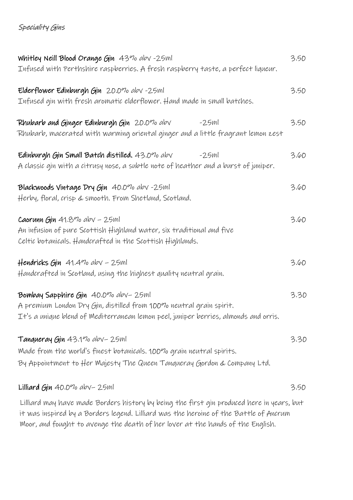## Speciality Gins

| Whitley Neill Blood Orange Gin 43% abv -25ml                                              |      |  |  |  |
|-------------------------------------------------------------------------------------------|------|--|--|--|
| Infused with Perthshire raspberries. A fresh raspberry taste, a perfect liqueur.          |      |  |  |  |
| Elderflower Edinburgh Gin 20.0% abv -25ml                                                 | 3.50 |  |  |  |
| Infused gin with fresh aromatic elderflower. Hand made in small batches.                  |      |  |  |  |
| Rhubarb and Ginger Edinburgh Gin 20.0% abv<br>$-25ml$                                     | 3.50 |  |  |  |
| Rhubarb, macerated with warming oriental ginger and a little fragrant lemon zest          |      |  |  |  |
| Edinburgh Gin Small Batch distilled. 43.0% abv<br>$-2.5ml$                                | 3.60 |  |  |  |
| A classic gin with a citrusy nose, a subtle note of heather and a burst of juniper.       |      |  |  |  |
| Blackwoods Vintage Dry Gin 40.0% abv -25ml                                                | 3.60 |  |  |  |
| Herby, floral, crisp & smooth. From Shetland, Scotland.                                   |      |  |  |  |
| Caorunn Gin 41.8% abv - 25ml                                                              | 3.60 |  |  |  |
| An infusion of pure Scottish Highland water, six traditional and five                     |      |  |  |  |
| Celtic botanicals. Handcrafted in the Scottish Highlands.                                 |      |  |  |  |
| Hendricks Gin $41.4\%$ abv - 25ml                                                         | 3.60 |  |  |  |
| Handcrafted in Scotland, using the highest quality neutral grain.                         |      |  |  |  |
| Bombay Sapphire Gin 40.0% abv-25ml                                                        | 3.30 |  |  |  |
| A premium London Dry Gin, distilled from 100% neutral grain spirit.                       |      |  |  |  |
| It's a unique blend of Mediterranean lemon peel, juniper berries, almonds and orris.      |      |  |  |  |
| Tanqueray Gin 43.1% abv-25ml                                                              | 3.30 |  |  |  |
| Made from the world's finest botanicals. 100% grain neutral spirits.                      |      |  |  |  |
| By Appointment to Her Majesty The Queen Tanqueray Gordon & Company Ltd.                   |      |  |  |  |
| Lilliard Gin 40.0% abv-25ml                                                               | 3.50 |  |  |  |
|                                                                                           |      |  |  |  |
| Lilliard may have made Borders history by being the first gin produced here in years, but |      |  |  |  |

Whor, and fought to avenge the death of her lover at the hands of the English. it was inspired by a Borders legend. Lilliard was the heroine of the Battle of Ancrum Moor, and fought to avenge the death of her lover at the hands of the English.